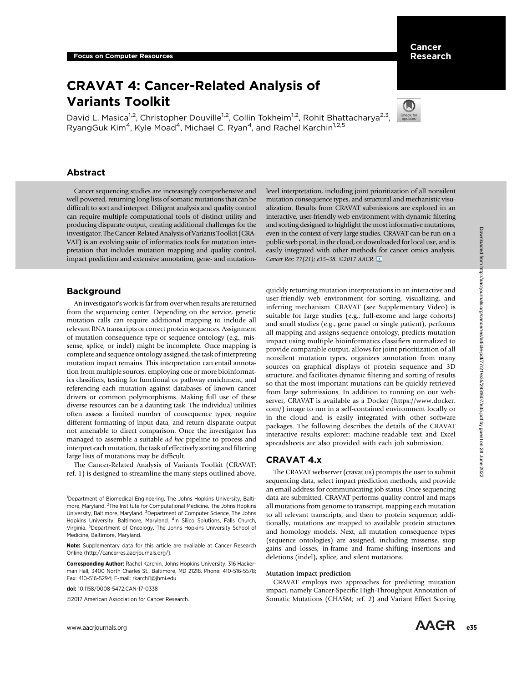# CRAVAT 4: Cancer-Related Analysis of Variants Toolkit

David L. Masica<sup>1,2</sup>, Christopher Douville<sup>1,2</sup>, Collin Tokheim<sup>1,2</sup>, Rohit Bhattacharya<sup>2,3</sup> RyangGuk Kim<sup>4</sup>, Kyle Moad<sup>4</sup>, Michael C. Ryan<sup>4</sup>, and Rachel Karchin<sup>1,2,5</sup>



Cancer Research

# Abstract

Cancer sequencing studies are increasingly comprehensive and well powered, returning long lists of somatic mutations that can be difficult to sort and interpret. Diligent analysis and quality control can require multiple computational tools of distinct utility and producing disparate output, creating additional challenges for the investigator. The Cancer-Related Analysis of Variants Toolkit (CRA-VAT) is an evolving suite of informatics tools for mutation interpretation that includes mutation mapping and quality control, impact prediction and extensive annotation, gene- and mutation-

# Background

An investigator's work is far from over when results are returned from the sequencing center. Depending on the service, genetic mutation calls can require additional mapping to include all relevant RNA transcripts or correct protein sequences. Assignment of mutation consequence type or sequence ontology (e.g., missense, splice, or indel) might be incomplete. Once mapping is complete and sequence ontology assigned, the task of interpreting mutation impact remains. This interpretation can entail annotation from multiple sources, employing one or more bioinformatics classifiers, testing for functional or pathway enrichment, and referencing each mutation against databases of known cancer drivers or common polymorphisms. Making full use of these diverse resources can be a daunting task. The individual utilities often assess a limited number of consequence types, require different formatting of input data, and return disparate output not amenable to direct comparison. Once the investigator has managed to assemble a suitable ad hoc pipeline to process and interpret each mutation, the task of effectively sorting and filtering large lists of mutations may be difficult.

The Cancer-Related Analysis of Variants Toolkit (CRAVAT; ref. 1) is designed to streamline the many steps outlined above,

2017 American Association for Cancer Research.

level interpretation, including joint prioritization of all nonsilent mutation consequence types, and structural and mechanistic visualization. Results from CRAVAT submissions are explored in an interactive, user-friendly web environment with dynamic filtering and sorting designed to highlight the most informative mutations, even in the context of very large studies. CRAVAT can be run on a public web portal, in the cloud, or downloaded for local use, and is easily integrated with other methods for cancer omics analysis. Cancer Res; 77(21); e35-38. ©2017 AACR.

quickly returning mutation interpretations in an interactive and user-friendly web environment for sorting, visualizing, and inferring mechanism. CRAVAT (see Supplementary Video) is suitable for large studies (e.g., full-exome and large cohorts) and small studies (e.g., gene panel or single patient), performs all mapping and assigns sequence ontology, predicts mutation impact using multiple bioinformatics classifiers normalized to provide comparable output, allows for joint prioritization of all nonsilent mutation types, organizes annotation from many sources on graphical displays of protein sequence and 3D structure, and facilitates dynamic filtering and sorting of results so that the most important mutations can be quickly retrieved from large submissions. In addition to running on our webserver, CRAVAT is available as a Docker [\(https://www.docker.](https://www.docker.com/) [com/\)](https://www.docker.com/) image to run in a self-contained environment locally or in the cloud and is easily integrated with other software packages. The following describes the details of the CRAVAT interactive results explorer; machine-readable text and Excel spreadsheets are also provided with each job submission.

# CRAVAT 4.x

The CRAVAT webserver (cravat.us) prompts the user to submit sequencing data, select impact prediction methods, and provide an email address for communicating job status. Once sequencing data are submitted, CRAVAT performs quality control and maps all mutations from genome to transcript, mapping each mutation to all relevant transcripts, and then to protein sequence; additionally, mutations are mapped to available protein structures and homology models. Next, all mutation consequence types (sequence ontologies) are assigned, including missense, stop gains and losses, in-frame and frame-shifting insertions and deletions (indel), splice, and silent mutations.

# Mutation impact prediction

CRAVAT employs two approaches for predicting mutation impact, namely Cancer-Specific High-Throughput Annotation of Somatic Mutations (CHASM; ref. 2) and Variant Effect Scoring

<sup>&</sup>lt;sup>1</sup>Department of Biomedical Engineering, The Johns Hopkins University, Baltimore, Maryland. <sup>2</sup>The Institute for Computational Medicine, The Johns Hopkins University, Baltimore, Maryland. <sup>3</sup>Department of Computer Science, The Johns Hopkins University, Baltimore, Maryland. <sup>4</sup>In Silico Solutions, Falls Church, Virginia. <sup>5</sup>Department of Oncology, The Johns Hopkins University School of Medicine, Baltimore, Maryland.

Note: Supplementary data for this article are available at Cancer Research Online (http://cancerres.aacrjournals.org/).

Corresponding Author: Rachel Karchin, Johns Hopkins University, 316 Hackerman Hall, 3400 North Charles St., Baltimore, MD 21218. Phone: 410-516-5578; Fax: 410-516-5294; E-mail: rkarchi1@jhmi.edu

doi: 10.1158/0008-5472.CAN-17-0338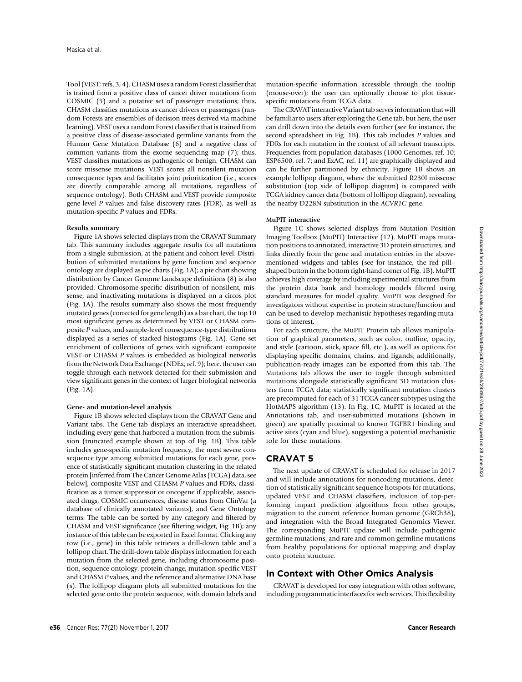Tool (VEST; refs. 3, 4). CHASM uses a random Forest classifier that is trained from a positive class of cancer driver mutations from COSMIC (5) and a putative set of passenger mutations; thus, CHASM classifies mutations as cancer drivers or passengers (random Forests are ensembles of decision trees derived via machine learning). VEST uses a random Forest classifier that is trained from a positive class of disease-associated germline variants from the Human Gene Mutation Database (6) and a negative class of common variants from the exome sequencing map (7); thus, VEST classifies mutations as pathogenic or benign. CHASM can score missense mutations. VEST scores all nonsilent mutation consequence types and facilitates joint prioritization (i.e., scores are directly comparable among all mutations, regardless of sequence ontology). Both CHASM and VEST provide composite gene-level P values and false discovery rates (FDR), as well as mutation-specific P values and FDRs.

#### Results summary

Figure 1A shows selected displays from the CRAVAT Summary tab. This summary includes aggregate results for all mutations from a single submission, at the patient and cohort level. Distribution of submitted mutations by gene function and sequence ontology are displayed as pie charts (Fig. 1A); a pie chart showing distribution by Cancer Genome Landscape definitions (8) is also provided. Chromosome-specific distribution of nonsilent, missense, and inactivating mutations is displayed on a circos plot (Fig. 1A). The results summary also shows the most frequently mutated genes (corrected for gene length) as a bar chart, the top 10 most significant genes as determined by VEST or CHASM composite P values, and sample-level consequence-type distributions displayed as a series of stacked histograms (Fig. 1A). Gene set enrichment of collections of genes with significant composite VEST or CHASM P values is embedded as biological networks from the Network Data Exchange (NDEx; ref. 9); here, the user can toggle through each network detected for their submission and view significant genes in the context of larger biological networks (Fig. 1A).

### Gene- and mutation-level analysis

Figure 1B shows selected displays from the CRAVAT Gene and Variant tabs. The Gene tab displays an interactive spreadsheet, including every gene that harbored a mutation from the submission (truncated example shown at top of Fig. 1B). This table includes gene-specific mutation frequency, the most severe consequence type among submitted mutations for each gene, presence of statistically significant mutation clustering in the related protein [inferred from The Cancer Genome Atlas (TCGA) data, see below], composite VEST and CHASM P values and FDRs, classification as a tumor suppressor or oncogene if applicable, associated drugs, COSMIC occurrences, disease status from ClinVar (a database of clinically annotated variants), and Gene Ontology terms. The table can be sorted by any category and filtered by CHASM and VEST significance (see filtering widget, Fig. 1B); any instance of this table can be exported in Excel format. Clicking any row (i.e., gene) in this table retrieves a drill-down table and a lollipop chart. The drill-down table displays information for each mutation from the selected gene, including chromosome position, sequence ontology, protein change, mutation-specific VEST and CHASM P values, and the reference and alternative DNA base (s). The lollipop diagram plots all submitted mutations for the selected gene onto the protein sequence, with domain labels and

mutation-specific information accessible through the tooltip (mouse-over); the user can optionally choose to plot tissuespecific mutations from TCGA data.

The CRAVAT interactive Variant tab serves information that will be familiar to users after exploring the Gene tab, but here, the user can drill down into the details even further (see for instance, the second spreadsheet in Fig. 1B). This tab includes P values and FDRs for each mutation in the context of all relevant transcripts. Frequencies from population databases (1000 Genomes, ref. 10; ESP6500, ref. 7; and ExAC, ref. 11) are graphically displayed and can be further partitioned by ethnicity. Figure 1B shows an example lollipop diagram, where the submitted R230I missense substitution (top side of lollipop diagram) is compared with TCGA kidney cancer data (bottom of lollipop diagram), revealing the nearby D228N substitution in the ACVR1C gene.

# MuPIT interactive

Figure 1C shows selected displays from Mutation Position Imaging Toolbox (MuPIT) Interactive (12). MuPIT maps mutation positions to annotated, interactive 3D protein structures, and links directly from the gene and mutation entries in the abovementioned widgets and tables (see for instance, the red pill– shaped button in the bottom right-hand corner of Fig. 1B). MuPIT achieves high coverage by including experimental structures from the protein data bank and homology models filtered using standard measures for model quality. MuPIT was designed for investigators without expertise in protein structure/function and can be used to develop mechanistic hypotheses regarding mutations of interest.

For each structure, the MuPIT Protein tab allows manipulation of graphical parameters, such as color, outline, opacity, and style (cartoon, stick, space fill, etc.), as well as options for displaying specific domains, chains, and ligands; additionally, publication-ready images can be exported from this tab. The Mutations tab allows the user to toggle through submitted mutations alongside statistically significant 3D mutation clusters from TCGA data; statistically significant mutation clusters are precomputed for each of 31 TCGA cancer subtypes using the HotMAPS algorithm (13). In Fig. 1C, MuPIT is located at the Annotations tab, and user-submitted mutations (shown in green) are spatially proximal to known TGFBR1 binding and active sites (cyan and blue), suggesting a potential mechanistic role for these mutations.

# CRAVAT 5

The next update of CRAVAT is scheduled for release in 2017 and will include annotations for noncoding mutations, detection of statistically significant sequence hotspots for mutations, updated VEST and CHASM classifiers, inclusion of top-performing impact prediction algorithms from other groups, migration to the current reference human genome (GRCh38), and integration with the Broad Integrated Genomics Viewer. The corresponding MuPIT update will include pathogenic germline mutations, and rare and common germline mutations from healthy populations for optional mapping and display onto protein structure.

# In Context with Other Omics Analysis

CRAVAT is developed for easy integration with other software, including programmatic interfaces for web services. This flexibility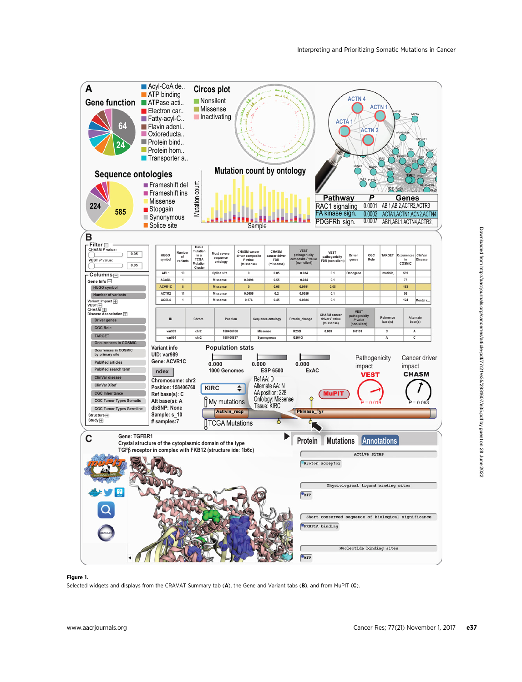

### Figure 1.

Selected widgets and displays from the CRAVAT Summary tab (A), the Gene and Variant tabs (B), and from MuPIT (C).